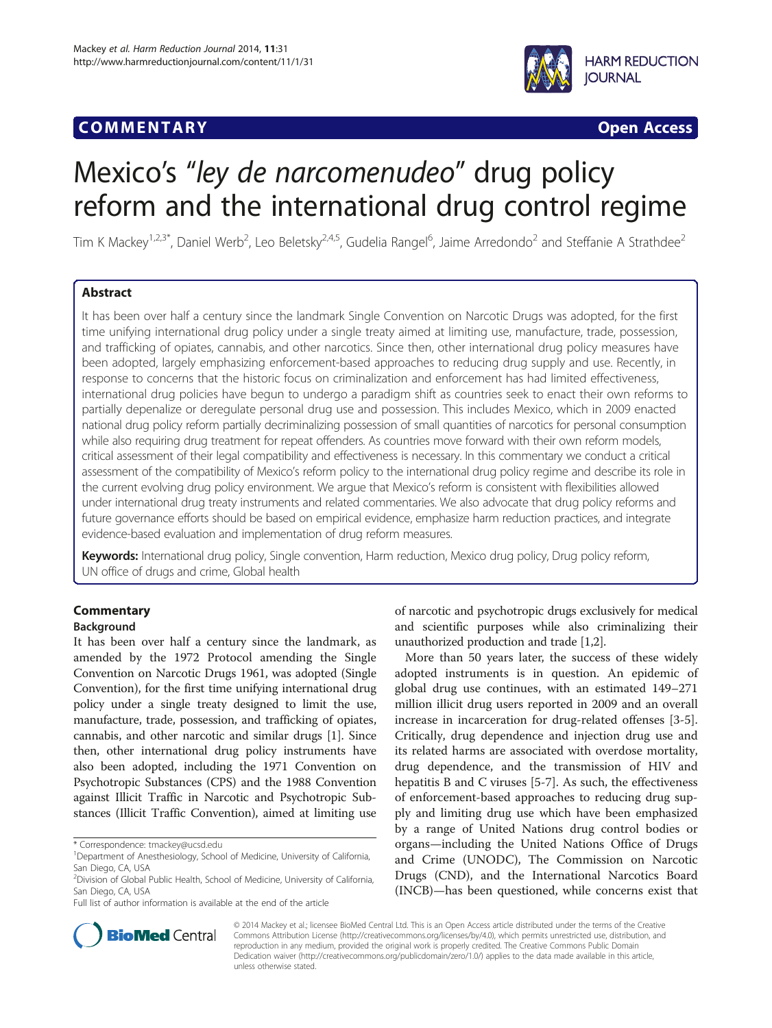## **COMMENTARY COMMENTARY Open Access**



# Mexico's "ley de narcomenudeo" drug policy reform and the international drug control regime

Tim K Mackey<sup>1,2,3\*</sup>, Daniel Werb<sup>2</sup>, Leo Beletsky<sup>2,4,5</sup>, Gudelia Rangel<sup>6</sup>, Jaime Arredondo<sup>2</sup> and Steffanie A Strathdee<sup>2</sup>

## Abstract

It has been over half a century since the landmark Single Convention on Narcotic Drugs was adopted, for the first time unifying international drug policy under a single treaty aimed at limiting use, manufacture, trade, possession, and trafficking of opiates, cannabis, and other narcotics. Since then, other international drug policy measures have been adopted, largely emphasizing enforcement-based approaches to reducing drug supply and use. Recently, in response to concerns that the historic focus on criminalization and enforcement has had limited effectiveness, international drug policies have begun to undergo a paradigm shift as countries seek to enact their own reforms to partially depenalize or deregulate personal drug use and possession. This includes Mexico, which in 2009 enacted national drug policy reform partially decriminalizing possession of small quantities of narcotics for personal consumption while also requiring drug treatment for repeat offenders. As countries move forward with their own reform models, critical assessment of their legal compatibility and effectiveness is necessary. In this commentary we conduct a critical assessment of the compatibility of Mexico's reform policy to the international drug policy regime and describe its role in the current evolving drug policy environment. We argue that Mexico's reform is consistent with flexibilities allowed under international drug treaty instruments and related commentaries. We also advocate that drug policy reforms and future governance efforts should be based on empirical evidence, emphasize harm reduction practices, and integrate evidence-based evaluation and implementation of drug reform measures.

Keywords: International drug policy, Single convention, Harm reduction, Mexico drug policy, Drug policy reform, UN office of drugs and crime, Global health

## **Commentary** Background

It has been over half a century since the landmark, as amended by the 1972 Protocol amending the Single Convention on Narcotic Drugs 1961, was adopted (Single Convention), for the first time unifying international drug policy under a single treaty designed to limit the use, manufacture, trade, possession, and trafficking of opiates, cannabis, and other narcotic and similar drugs [\[1](#page-5-0)]. Since then, other international drug policy instruments have also been adopted, including the 1971 Convention on Psychotropic Substances (CPS) and the 1988 Convention against Illicit Traffic in Narcotic and Psychotropic Substances (Illicit Traffic Convention), aimed at limiting use

\* Correspondence: [tmackey@ucsd.edu](mailto:tmackey@ucsd.edu) <sup>1</sup>

Full list of author information is available at the end of the article

of narcotic and psychotropic drugs exclusively for medical and scientific purposes while also criminalizing their unauthorized production and trade [\[1,2\]](#page-5-0).

More than 50 years later, the success of these widely adopted instruments is in question. An epidemic of global drug use continues, with an estimated 149–271 million illicit drug users reported in 2009 and an overall increase in incarceration for drug-related offenses [[3-5](#page-5-0)]. Critically, drug dependence and injection drug use and its related harms are associated with overdose mortality, drug dependence, and the transmission of HIV and hepatitis B and C viruses [[5-7\]](#page-5-0). As such, the effectiveness of enforcement-based approaches to reducing drug supply and limiting drug use which have been emphasized by a range of United Nations drug control bodies or organs—including the United Nations Office of Drugs and Crime (UNODC), The Commission on Narcotic Drugs (CND), and the International Narcotics Board (INCB)—has been questioned, while concerns exist that



© 2014 Mackey et al.; licensee BioMed Central Ltd. This is an Open Access article distributed under the terms of the Creative Commons Attribution License [\(http://creativecommons.org/licenses/by/4.0\)](http://creativecommons.org/licenses/by/4.0), which permits unrestricted use, distribution, and reproduction in any medium, provided the original work is properly credited. The Creative Commons Public Domain Dedication waiver [\(http://creativecommons.org/publicdomain/zero/1.0/](http://creativecommons.org/publicdomain/zero/1.0/)) applies to the data made available in this article, unless otherwise stated.

<sup>&</sup>lt;sup>1</sup>Department of Anesthesiology, School of Medicine, University of California, San Diego, CA, USA

<sup>2</sup> Division of Global Public Health, School of Medicine, University of California, San Diego, CA, USA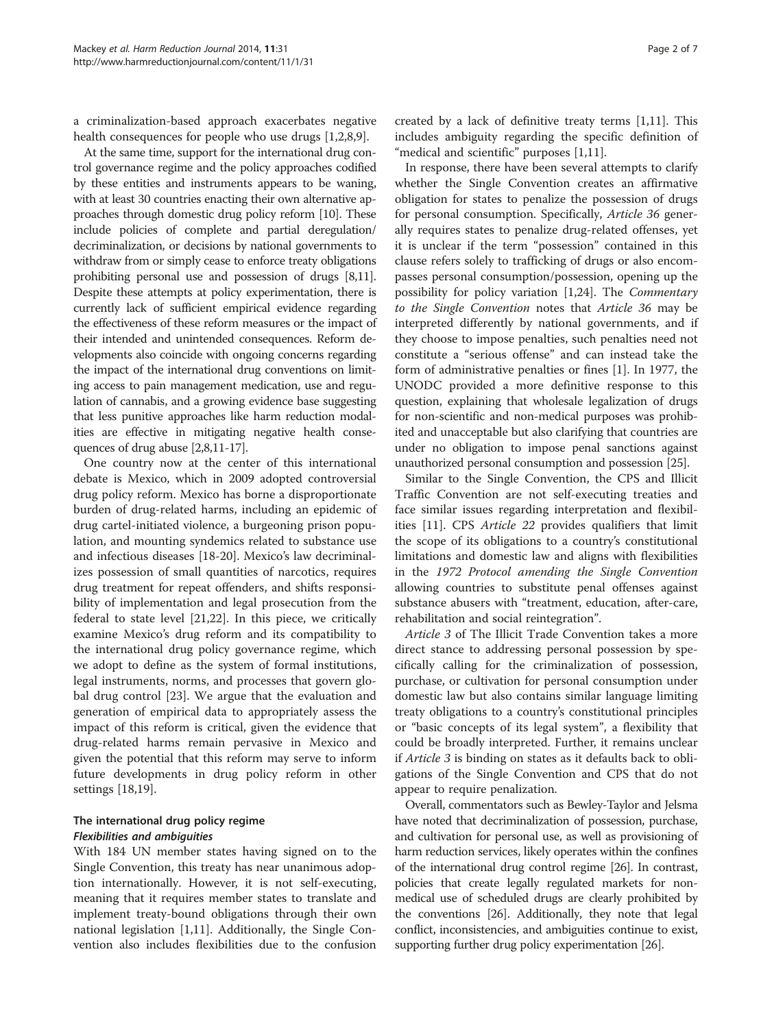a criminalization-based approach exacerbates negative health consequences for people who use drugs [[1,2,8,9\]](#page-5-0).

At the same time, support for the international drug control governance regime and the policy approaches codified by these entities and instruments appears to be waning, with at least 30 countries enacting their own alternative approaches through domestic drug policy reform [\[10\]](#page-5-0). These include policies of complete and partial deregulation/ decriminalization, or decisions by national governments to withdraw from or simply cease to enforce treaty obligations prohibiting personal use and possession of drugs [\[8,11](#page-5-0)]. Despite these attempts at policy experimentation, there is currently lack of sufficient empirical evidence regarding the effectiveness of these reform measures or the impact of their intended and unintended consequences. Reform developments also coincide with ongoing concerns regarding the impact of the international drug conventions on limiting access to pain management medication, use and regulation of cannabis, and a growing evidence base suggesting that less punitive approaches like harm reduction modalities are effective in mitigating negative health consequences of drug abuse [\[2,8,11-17](#page-5-0)].

One country now at the center of this international debate is Mexico, which in 2009 adopted controversial drug policy reform. Mexico has borne a disproportionate burden of drug-related harms, including an epidemic of drug cartel-initiated violence, a burgeoning prison population, and mounting syndemics related to substance use and infectious diseases [\[18](#page-5-0)-[20\]](#page-6-0). Mexico's law decriminalizes possession of small quantities of narcotics, requires drug treatment for repeat offenders, and shifts responsibility of implementation and legal prosecution from the federal to state level [[21,22\]](#page-6-0). In this piece, we critically examine Mexico's drug reform and its compatibility to the international drug policy governance regime, which we adopt to define as the system of formal institutions, legal instruments, norms, and processes that govern global drug control [\[23\]](#page-6-0). We argue that the evaluation and generation of empirical data to appropriately assess the impact of this reform is critical, given the evidence that drug-related harms remain pervasive in Mexico and given the potential that this reform may serve to inform future developments in drug policy reform in other settings [[18,19\]](#page-5-0).

## The international drug policy regime Flexibilities and ambiguities

With 184 UN member states having signed on to the Single Convention, this treaty has near unanimous adoption internationally. However, it is not self-executing, meaning that it requires member states to translate and implement treaty-bound obligations through their own national legislation [[1,11\]](#page-5-0). Additionally, the Single Convention also includes flexibilities due to the confusion created by a lack of definitive treaty terms [\[1,11\]](#page-5-0). This includes ambiguity regarding the specific definition of "medical and scientific" purposes [\[1,11](#page-5-0)].

In response, there have been several attempts to clarify whether the Single Convention creates an affirmative obligation for states to penalize the possession of drugs for personal consumption. Specifically, Article 36 generally requires states to penalize drug-related offenses, yet it is unclear if the term "possession" contained in this clause refers solely to trafficking of drugs or also encompasses personal consumption/possession, opening up the possibility for policy variation [\[1](#page-5-0)[,24\]](#page-6-0). The Commentary to the Single Convention notes that Article 36 may be interpreted differently by national governments, and if they choose to impose penalties, such penalties need not constitute a "serious offense" and can instead take the form of administrative penalties or fines [[1\]](#page-5-0). In 1977, the UNODC provided a more definitive response to this question, explaining that wholesale legalization of drugs for non-scientific and non-medical purposes was prohibited and unacceptable but also clarifying that countries are under no obligation to impose penal sanctions against unauthorized personal consumption and possession [\[25](#page-6-0)].

Similar to the Single Convention, the CPS and Illicit Traffic Convention are not self-executing treaties and face similar issues regarding interpretation and flexibilities [\[11\]](#page-5-0). CPS Article 22 provides qualifiers that limit the scope of its obligations to a country's constitutional limitations and domestic law and aligns with flexibilities in the 1972 Protocol amending the Single Convention allowing countries to substitute penal offenses against substance abusers with "treatment, education, after-care, rehabilitation and social reintegration".

Article 3 of The Illicit Trade Convention takes a more direct stance to addressing personal possession by specifically calling for the criminalization of possession, purchase, or cultivation for personal consumption under domestic law but also contains similar language limiting treaty obligations to a country's constitutional principles or "basic concepts of its legal system", a flexibility that could be broadly interpreted. Further, it remains unclear if Article 3 is binding on states as it defaults back to obligations of the Single Convention and CPS that do not appear to require penalization.

Overall, commentators such as Bewley-Taylor and Jelsma have noted that decriminalization of possession, purchase, and cultivation for personal use, as well as provisioning of harm reduction services, likely operates within the confines of the international drug control regime [\[26\]](#page-6-0). In contrast, policies that create legally regulated markets for nonmedical use of scheduled drugs are clearly prohibited by the conventions [[26](#page-6-0)]. Additionally, they note that legal conflict, inconsistencies, and ambiguities continue to exist, supporting further drug policy experimentation [[26](#page-6-0)].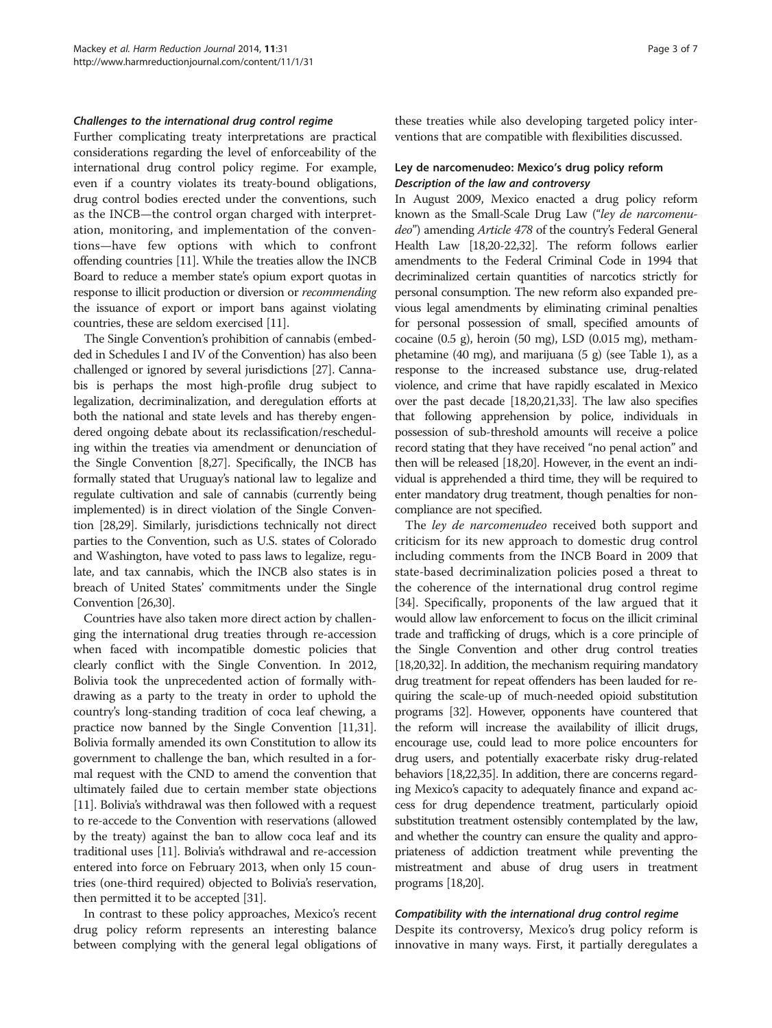#### Challenges to the international drug control regime

Further complicating treaty interpretations are practical considerations regarding the level of enforceability of the international drug control policy regime. For example, even if a country violates its treaty-bound obligations, drug control bodies erected under the conventions, such as the INCB—the control organ charged with interpretation, monitoring, and implementation of the conventions—have few options with which to confront offending countries [[11](#page-5-0)]. While the treaties allow the INCB Board to reduce a member state's opium export quotas in response to illicit production or diversion or recommending the issuance of export or import bans against violating countries, these are seldom exercised [[11](#page-5-0)].

The Single Convention's prohibition of cannabis (embedded in Schedules I and IV of the Convention) has also been challenged or ignored by several jurisdictions [[27](#page-6-0)]. Cannabis is perhaps the most high-profile drug subject to legalization, decriminalization, and deregulation efforts at both the national and state levels and has thereby engendered ongoing debate about its reclassification/rescheduling within the treaties via amendment or denunciation of the Single Convention [\[8](#page-5-0)[,27\]](#page-6-0). Specifically, the INCB has formally stated that Uruguay's national law to legalize and regulate cultivation and sale of cannabis (currently being implemented) is in direct violation of the Single Convention [[28,29\]](#page-6-0). Similarly, jurisdictions technically not direct parties to the Convention, such as U.S. states of Colorado and Washington, have voted to pass laws to legalize, regulate, and tax cannabis, which the INCB also states is in breach of United States' commitments under the Single Convention [[26,30\]](#page-6-0).

Countries have also taken more direct action by challenging the international drug treaties through re-accession when faced with incompatible domestic policies that clearly conflict with the Single Convention. In 2012, Bolivia took the unprecedented action of formally withdrawing as a party to the treaty in order to uphold the country's long-standing tradition of coca leaf chewing, a practice now banned by the Single Convention [\[11,](#page-5-0)[31](#page-6-0)]. Bolivia formally amended its own Constitution to allow its government to challenge the ban, which resulted in a formal request with the CND to amend the convention that ultimately failed due to certain member state objections [[11](#page-5-0)]. Bolivia's withdrawal was then followed with a request to re-accede to the Convention with reservations (allowed by the treaty) against the ban to allow coca leaf and its traditional uses [\[11\]](#page-5-0). Bolivia's withdrawal and re-accession entered into force on February 2013, when only 15 countries (one-third required) objected to Bolivia's reservation, then permitted it to be accepted [[31](#page-6-0)].

In contrast to these policy approaches, Mexico's recent drug policy reform represents an interesting balance between complying with the general legal obligations of

these treaties while also developing targeted policy interventions that are compatible with flexibilities discussed.

## Ley de narcomenudeo: Mexico's drug policy reform Description of the law and controversy

In August 2009, Mexico enacted a drug policy reform known as the Small-Scale Drug Law ("ley de narcomenudeo") amending Article 478 of the country's Federal General Health Law [\[18](#page-5-0)[,20-22,32](#page-6-0)]. The reform follows earlier amendments to the Federal Criminal Code in 1994 that decriminalized certain quantities of narcotics strictly for personal consumption. The new reform also expanded previous legal amendments by eliminating criminal penalties for personal possession of small, specified amounts of cocaine  $(0.5 \text{ g})$ , heroin  $(50 \text{ mg})$ , LSD  $(0.015 \text{ mg})$ , methamphetamine (40 mg), and marijuana (5 g) (see Table [1\)](#page-3-0), as a response to the increased substance use, drug-related violence, and crime that have rapidly escalated in Mexico over the past decade [[18](#page-5-0)[,20,21,33](#page-6-0)]. The law also specifies that following apprehension by police, individuals in possession of sub-threshold amounts will receive a police record stating that they have received "no penal action" and then will be released [[18](#page-5-0)[,20](#page-6-0)]. However, in the event an individual is apprehended a third time, they will be required to enter mandatory drug treatment, though penalties for noncompliance are not specified.

The ley de narcomenudeo received both support and criticism for its new approach to domestic drug control including comments from the INCB Board in 2009 that state-based decriminalization policies posed a threat to the coherence of the international drug control regime [[34\]](#page-6-0). Specifically, proponents of the law argued that it would allow law enforcement to focus on the illicit criminal trade and trafficking of drugs, which is a core principle of the Single Convention and other drug control treaties [[18](#page-5-0)[,20,32\]](#page-6-0). In addition, the mechanism requiring mandatory drug treatment for repeat offenders has been lauded for requiring the scale-up of much-needed opioid substitution programs [[32](#page-6-0)]. However, opponents have countered that the reform will increase the availability of illicit drugs, encourage use, could lead to more police encounters for drug users, and potentially exacerbate risky drug-related behaviors [\[18,](#page-5-0)[22,35\]](#page-6-0). In addition, there are concerns regarding Mexico's capacity to adequately finance and expand access for drug dependence treatment, particularly opioid substitution treatment ostensibly contemplated by the law, and whether the country can ensure the quality and appropriateness of addiction treatment while preventing the mistreatment and abuse of drug users in treatment programs [[18](#page-5-0)[,20](#page-6-0)].

#### Compatibility with the international drug control regime

Despite its controversy, Mexico's drug policy reform is innovative in many ways. First, it partially deregulates a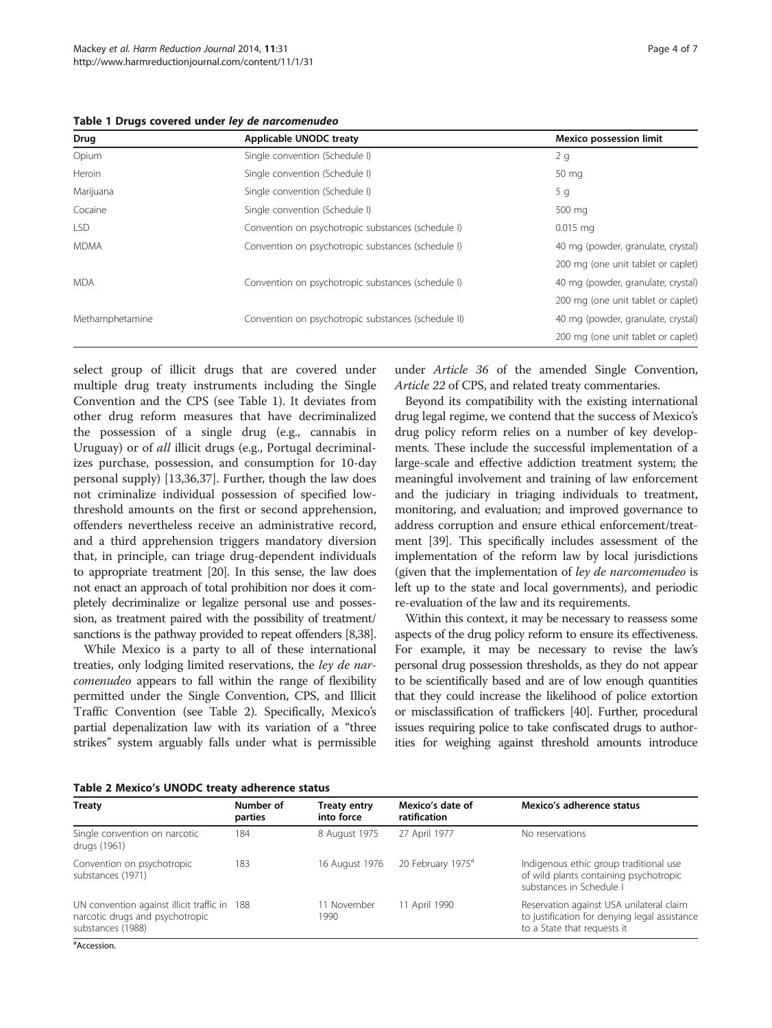<span id="page-3-0"></span>Table 1 Drugs covered under ley de narcomenudeo

| Drug            | Applicable UNODC treaty                             | <b>Mexico possession limit</b><br>2q |  |
|-----------------|-----------------------------------------------------|--------------------------------------|--|
| Opium           | Single convention (Schedule I)                      |                                      |  |
| Heroin          | Single convention (Schedule I)                      | 50 mg                                |  |
| Marijuana       | Single convention (Schedule I)                      | 5 g                                  |  |
| Cocaine         | Single convention (Schedule I)                      | 500 mg                               |  |
| LSD.            | Convention on psychotropic substances (schedule I)  | $0.015$ mg                           |  |
| <b>MDMA</b>     | Convention on psychotropic substances (schedule I)  | 40 mg (powder, granulate, crystal)   |  |
|                 |                                                     | 200 mg (one unit tablet or caplet)   |  |
| <b>MDA</b>      | Convention on psychotropic substances (schedule I)  | 40 mg (powder, granulate, crystal)   |  |
|                 |                                                     | 200 mg (one unit tablet or caplet)   |  |
| Methamphetamine | Convention on psychotropic substances (schedule II) | 40 mg (powder, granulate, crystal)   |  |
|                 |                                                     | 200 mg (one unit tablet or caplet)   |  |

select group of illicit drugs that are covered under multiple drug treaty instruments including the Single Convention and the CPS (see Table 1). It deviates from other drug reform measures that have decriminalized the possession of a single drug (e.g., cannabis in Uruguay) or of all illicit drugs (e.g., Portugal decriminalizes purchase, possession, and consumption for 10-day personal supply) [\[13,](#page-5-0)[36,37\]](#page-6-0). Further, though the law does not criminalize individual possession of specified lowthreshold amounts on the first or second apprehension, offenders nevertheless receive an administrative record, and a third apprehension triggers mandatory diversion that, in principle, can triage drug-dependent individuals to appropriate treatment [\[20](#page-6-0)]. In this sense, the law does not enact an approach of total prohibition nor does it completely decriminalize or legalize personal use and possession, as treatment paired with the possibility of treatment/ sanctions is the pathway provided to repeat offenders [\[8](#page-5-0)[,38](#page-6-0)].

While Mexico is a party to all of these international treaties, only lodging limited reservations, the ley de narcomenudeo appears to fall within the range of flexibility permitted under the Single Convention, CPS, and Illicit Traffic Convention (see Table 2). Specifically, Mexico's partial depenalization law with its variation of a "three strikes" system arguably falls under what is permissible

under Article 36 of the amended Single Convention, Article 22 of CPS, and related treaty commentaries.

Beyond its compatibility with the existing international drug legal regime, we contend that the success of Mexico's drug policy reform relies on a number of key developments. These include the successful implementation of a large-scale and effective addiction treatment system; the meaningful involvement and training of law enforcement and the judiciary in triaging individuals to treatment, monitoring, and evaluation; and improved governance to address corruption and ensure ethical enforcement/treatment [[39\]](#page-6-0). This specifically includes assessment of the implementation of the reform law by local jurisdictions (given that the implementation of ley de narcomenudeo is left up to the state and local governments), and periodic re-evaluation of the law and its requirements.

Within this context, it may be necessary to reassess some aspects of the drug policy reform to ensure its effectiveness. For example, it may be necessary to revise the law's personal drug possession thresholds, as they do not appear to be scientifically based and are of low enough quantities that they could increase the likelihood of police extortion or misclassification of traffickers [\[40](#page-6-0)]. Further, procedural issues requiring police to take confiscated drugs to authorities for weighing against threshold amounts introduce

Table 2 Mexico's UNODC treaty adherence status

| Treaty                                                                                               | Number of<br>parties | <b>Treaty entry</b><br>into force | Mexico's date of<br>ratification | Mexico's adherence status                                                                                                |
|------------------------------------------------------------------------------------------------------|----------------------|-----------------------------------|----------------------------------|--------------------------------------------------------------------------------------------------------------------------|
|                                                                                                      |                      |                                   |                                  |                                                                                                                          |
| Single convention on narcotic<br>drugs (1961)                                                        | 184                  | 8 August 1975                     | 27 April 1977                    | No reservations                                                                                                          |
| Convention on psychotropic<br>substances (1971)                                                      | 183                  | 16 August 1976                    | 20 February 1975 <sup>a</sup>    | Indigenous ethic group traditional use<br>of wild plants containing psychotropic<br>substances in Schedule I             |
| UN convention against illicit traffic in 188<br>narcotic drugs and psychotropic<br>substances (1988) |                      | 11 November<br>1990               | 11 April 1990                    | Reservation against USA unilateral claim<br>to justification for denying legal assistance<br>to a State that requests it |

<sup>a</sup>Accession.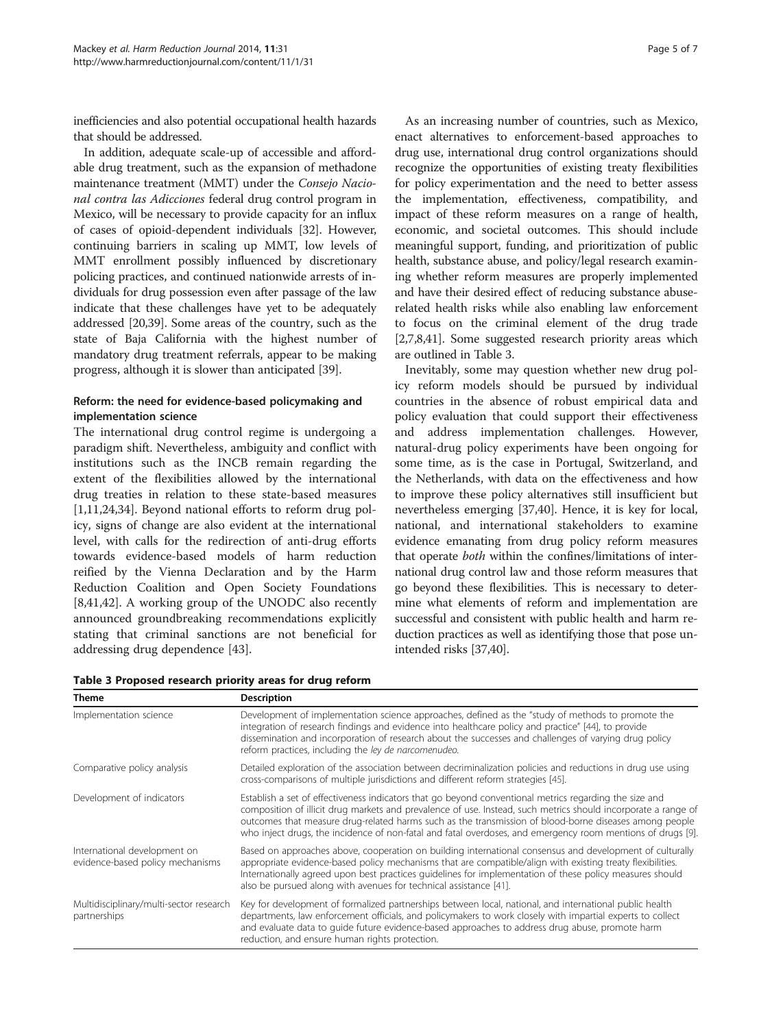inefficiencies and also potential occupational health hazards that should be addressed.

In addition, adequate scale-up of accessible and affordable drug treatment, such as the expansion of methadone maintenance treatment (MMT) under the Consejo Nacional contra las Adicciones federal drug control program in Mexico, will be necessary to provide capacity for an influx of cases of opioid-dependent individuals [[32](#page-6-0)]. However, continuing barriers in scaling up MMT, low levels of MMT enrollment possibly influenced by discretionary policing practices, and continued nationwide arrests of individuals for drug possession even after passage of the law indicate that these challenges have yet to be adequately addressed [\[20,39\]](#page-6-0). Some areas of the country, such as the state of Baja California with the highest number of mandatory drug treatment referrals, appear to be making progress, although it is slower than anticipated [[39](#page-6-0)].

## Reform: the need for evidence-based policymaking and implementation science

The international drug control regime is undergoing a paradigm shift. Nevertheless, ambiguity and conflict with institutions such as the INCB remain regarding the extent of the flexibilities allowed by the international drug treaties in relation to these state-based measures [[1,11,](#page-5-0)[24,34\]](#page-6-0). Beyond national efforts to reform drug policy, signs of change are also evident at the international level, with calls for the redirection of anti-drug efforts towards evidence-based models of harm reduction reified by the Vienna Declaration and by the Harm Reduction Coalition and Open Society Foundations [[8,](#page-5-0)[41,42\]](#page-6-0). A working group of the UNODC also recently announced groundbreaking recommendations explicitly stating that criminal sanctions are not beneficial for addressing drug dependence [\[43](#page-6-0)].

As an increasing number of countries, such as Mexico, enact alternatives to enforcement-based approaches to drug use, international drug control organizations should recognize the opportunities of existing treaty flexibilities for policy experimentation and the need to better assess the implementation, effectiveness, compatibility, and impact of these reform measures on a range of health, economic, and societal outcomes. This should include meaningful support, funding, and prioritization of public health, substance abuse, and policy/legal research examining whether reform measures are properly implemented and have their desired effect of reducing substance abuserelated health risks while also enabling law enforcement to focus on the criminal element of the drug trade [[2,7,8](#page-5-0)[,41](#page-6-0)]. Some suggested research priority areas which are outlined in Table 3.

Inevitably, some may question whether new drug policy reform models should be pursued by individual countries in the absence of robust empirical data and policy evaluation that could support their effectiveness and address implementation challenges. However, natural-drug policy experiments have been ongoing for some time, as is the case in Portugal, Switzerland, and the Netherlands, with data on the effectiveness and how to improve these policy alternatives still insufficient but nevertheless emerging [\[37,40\]](#page-6-0). Hence, it is key for local, national, and international stakeholders to examine evidence emanating from drug policy reform measures that operate *both* within the confines/limitations of international drug control law and those reform measures that go beyond these flexibilities. This is necessary to determine what elements of reform and implementation are successful and consistent with public health and harm reduction practices as well as identifying those that pose unintended risks [[37,40\]](#page-6-0).

Table 3 Proposed research priority areas for drug reform

| <b>Theme</b>                                                     | <b>Description</b>                                                                                                                                                                                                                                                                                                                                                                                                                                |  |
|------------------------------------------------------------------|---------------------------------------------------------------------------------------------------------------------------------------------------------------------------------------------------------------------------------------------------------------------------------------------------------------------------------------------------------------------------------------------------------------------------------------------------|--|
| Implementation science                                           | Development of implementation science approaches, defined as the "study of methods to promote the<br>integration of research findings and evidence into healthcare policy and practice" [44], to provide<br>dissemination and incorporation of research about the successes and challenges of varying drug policy<br>reform practices, including the ley de narcomenudeo.                                                                         |  |
| Comparative policy analysis                                      | Detailed exploration of the association between decriminalization policies and reductions in drug use using<br>cross-comparisons of multiple jurisdictions and different reform strategies [45].                                                                                                                                                                                                                                                  |  |
| Development of indicators                                        | Establish a set of effectiveness indicators that go beyond conventional metrics regarding the size and<br>composition of illicit drug markets and prevalence of use. Instead, such metrics should incorporate a range of<br>outcomes that measure drug-related harms such as the transmission of blood-borne diseases among people<br>who inject drugs, the incidence of non-fatal and fatal overdoses, and emergency room mentions of drugs [9]. |  |
| International development on<br>evidence-based policy mechanisms | Based on approaches above, cooperation on building international consensus and development of culturally<br>appropriate evidence-based policy mechanisms that are compatible/align with existing treaty flexibilities.<br>Internationally agreed upon best practices guidelines for implementation of these policy measures should<br>also be pursued along with avenues for technical assistance [41].                                           |  |
| Multidisciplinary/multi-sector research<br>partnerships          | Key for development of formalized partnerships between local, national, and international public health<br>departments, law enforcement officials, and policymakers to work closely with impartial experts to collect<br>and evaluate data to quide future evidence-based approaches to address drug abuse, promote harm<br>reduction, and ensure human rights protection.                                                                        |  |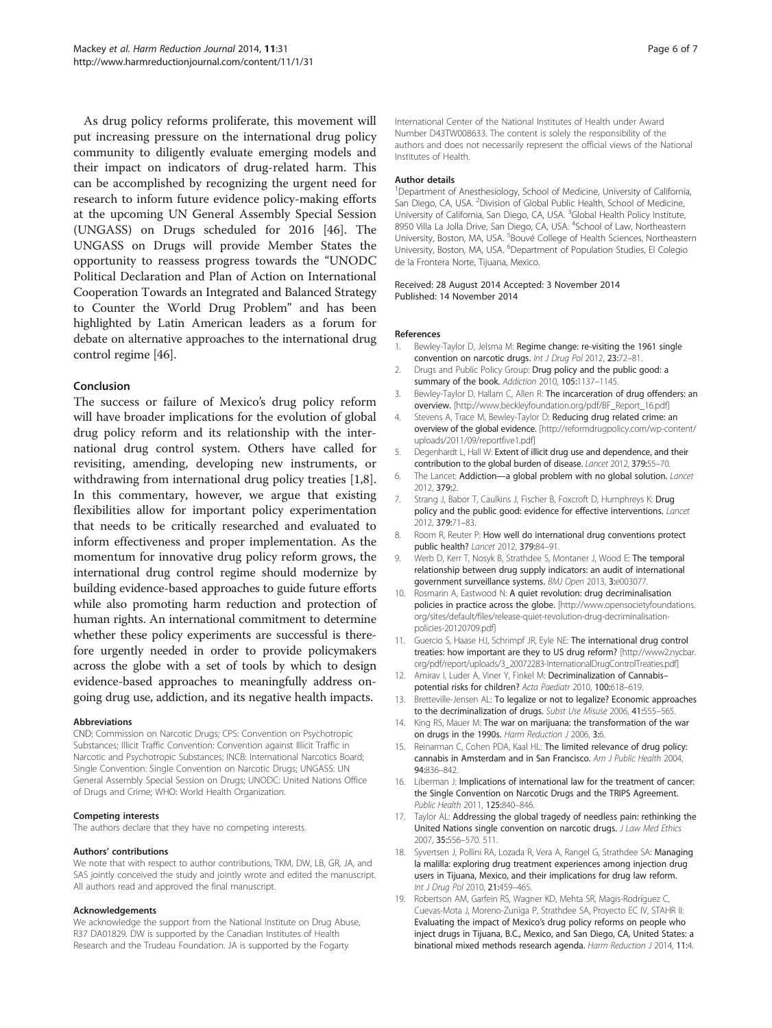<span id="page-5-0"></span>As drug policy reforms proliferate, this movement will put increasing pressure on the international drug policy community to diligently evaluate emerging models and their impact on indicators of drug-related harm. This can be accomplished by recognizing the urgent need for research to inform future evidence policy-making efforts at the upcoming UN General Assembly Special Session (UNGASS) on Drugs scheduled for 2016 [[46](#page-6-0)]. The UNGASS on Drugs will provide Member States the opportunity to reassess progress towards the "UNODC Political Declaration and Plan of Action on International Cooperation Towards an Integrated and Balanced Strategy to Counter the World Drug Problem" and has been highlighted by Latin American leaders as a forum for debate on alternative approaches to the international drug control regime [\[46\]](#page-6-0).

## Conclusion

The success or failure of Mexico's drug policy reform will have broader implications for the evolution of global drug policy reform and its relationship with the international drug control system. Others have called for revisiting, amending, developing new instruments, or withdrawing from international drug policy treaties [1,8]. In this commentary, however, we argue that existing flexibilities allow for important policy experimentation that needs to be critically researched and evaluated to inform effectiveness and proper implementation. As the momentum for innovative drug policy reform grows, the international drug control regime should modernize by building evidence-based approaches to guide future efforts while also promoting harm reduction and protection of human rights. An international commitment to determine whether these policy experiments are successful is therefore urgently needed in order to provide policymakers across the globe with a set of tools by which to design evidence-based approaches to meaningfully address ongoing drug use, addiction, and its negative health impacts.

#### Abbreviations

CND: Commission on Narcotic Drugs; CPS: Convention on Psychotropic Substances; Illicit Traffic Convention: Convention against Illicit Traffic in Narcotic and Psychotropic Substances; INCB: International Narcotics Board; Single Convention: Single Convention on Narcotic Drugs; UNGASS: UN General Assembly Special Session on Drugs; UNODC: United Nations Office of Drugs and Crime; WHO: World Health Organization.

#### Competing interests

The authors declare that they have no competing interests.

#### Authors' contributions

We note that with respect to author contributions, TKM, DW, LB, GR, JA, and SAS jointly conceived the study and jointly wrote and edited the manuscript. All authors read and approved the final manuscript.

#### Acknowledgements

We acknowledge the support from the National Institute on Drug Abuse, R37 DA01829. DW is supported by the Canadian Institutes of Health Research and the Trudeau Foundation. JA is supported by the Fogarty

International Center of the National Institutes of Health under Award Number D43TW008633. The content is solely the responsibility of the authors and does not necessarily represent the official views of the National Institutes of Health.

#### Author details

<sup>1</sup>Department of Anesthesiology, School of Medicine, University of California San Diego, CA, USA. <sup>2</sup> Division of Global Public Health, School of Medicine University of California, San Diego, CA, USA. <sup>3</sup>Global Health Policy Institute, 8950 Villa La Jolla Drive, San Diego, CA, USA. <sup>4</sup>School of Law, Northeastern University, Boston, MA, USA. <sup>5</sup>Bouvé College of Health Sciences, Northeastern University, Boston, MA, USA. <sup>6</sup>Department of Population Studies, El Colegio de la Frontera Norte, Tijuana, Mexico.

#### Received: 28 August 2014 Accepted: 3 November 2014 Published: 14 November 2014

#### References

- 1. Bewley-Taylor D, Jelsma M: Regime change: re-visiting the 1961 single convention on narcotic drugs. Int J Drug Pol 2012, 23:72–81.
- 2. Drugs and Public Policy Group: Drug policy and the public good: a summary of the book. Addiction 2010, 105:1137-1145.
- 3. Bewley-Taylor D, Hallam C, Allen R: The incarceration of drug offenders: an overview. [\[http://www.beckleyfoundation.org/pdf/BF\\_Report\\_16.pdf](http://www.beckleyfoundation.org/pdf/BF_Report_16.pdf)]
- 4. Stevens A, Trace M, Bewley-Taylor D: Reducing drug related crime: an overview of the global evidence. [[http://reformdrugpolicy.com/wp-content/](http://reformdrugpolicy.com/wp-content/uploads/2011/09/reportfive1.pdf) [uploads/2011/09/reportfive1.pdf](http://reformdrugpolicy.com/wp-content/uploads/2011/09/reportfive1.pdf)]
- 5. Degenhardt L, Hall W: Extent of illicit drug use and dependence, and their contribution to the global burden of disease. Lancet 2012, 379:55-70.
- 6. The Lancet: Addiction—a global problem with no global solution. Lancet 2012, 379:2.
- 7. Strang J, Babor T, Caulkins J, Fischer B, Foxcroft D, Humphreys K: Drug policy and the public good: evidence for effective interventions. Lancet 2012, 379:71–83.
- 8. Room R, Reuter P: How well do international drug conventions protect public health? Lancet 2012, 379:84–91.
- 9. Werb D, Kerr T, Nosyk B, Strathdee S, Montaner J, Wood E: The temporal relationship between drug supply indicators: an audit of international government surveillance systems. BMJ Open 2013, 3:e003077.
- 10. Rosmarin A, Eastwood N: A quiet revolution: drug decriminalisation policies in practice across the globe. [\[http://www.opensocietyfoundations.](http://www.opensocietyfoundations.org/sites/default/files/release-quiet-revolution-drug-decriminalisation-policies-20120709.pdf) [org/sites/default/files/release-quiet-revolution-drug-decriminalisation](http://www.opensocietyfoundations.org/sites/default/files/release-quiet-revolution-drug-decriminalisation-policies-20120709.pdf)[policies-20120709.pdf](http://www.opensocietyfoundations.org/sites/default/files/release-quiet-revolution-drug-decriminalisation-policies-20120709.pdf)]
- 11. Guercio S, Haase HJ, Schrimpf JR, Eyle NE: The international drug control treaties: how important are they to US drug reform? [\[http://www2.nycbar.](http://www2.nycbar.org/pdf/report/uploads/3_20072283-InternationalDrugControlTreaties.pdf) [org/pdf/report/uploads/3\\_20072283-InternationalDrugControlTreaties.pdf](http://www2.nycbar.org/pdf/report/uploads/3_20072283-InternationalDrugControlTreaties.pdf)]
- 12. Amirav I, Luder A, Viner Y, Finkel M: Decriminalization of Cannabispotential risks for children? Acta Paediatr 2010, 100:618–619.
- 13. Bretteville-Jensen AL: To legalize or not to legalize? Economic approaches to the decriminalization of drugs. Subst Use Misuse 2006, 41:555–565.
- 14. King RS, Mauer M: The war on marijuana: the transformation of the war on drugs in the 1990s. Harm Reduction J 2006, 3:6.
- 15. Reinarman C, Cohen PDA, Kaal HL: The limited relevance of drug policy: cannabis in Amsterdam and in San Francisco. Am J Public Health 2004, 94:836–842.
- 16. Liberman J: Implications of international law for the treatment of cancer: the Single Convention on Narcotic Drugs and the TRIPS Agreement. Public Health 2011, 125:840–846.
- 17. Taylor AL: Addressing the global tragedy of needless pain: rethinking the United Nations single convention on narcotic drugs. J Law Med Ethics 2007, 35:556–570. 511.
- 18. Syvertsen J, Pollini RA, Lozada R, Vera A, Rangel G, Strathdee SA: Managing la malilla: exploring drug treatment experiences among injection drug users in Tijuana, Mexico, and their implications for drug law reform. Int J Drug Pol 2010, 21:459–465.
- 19. Robertson AM, Garfein RS, Wagner KD, Mehta SR, Magis-Rodríguez C, Cuevas-Mota J, Moreno-Zuniga P, Strathdee SA, Proyecto EC IV, STAHR II: Evaluating the impact of Mexico's drug policy reforms on people who inject drugs in Tijuana, B.C., Mexico, and San Diego, CA, United States: a binational mixed methods research agenda. Harm Reduction J 2014, 11:4.